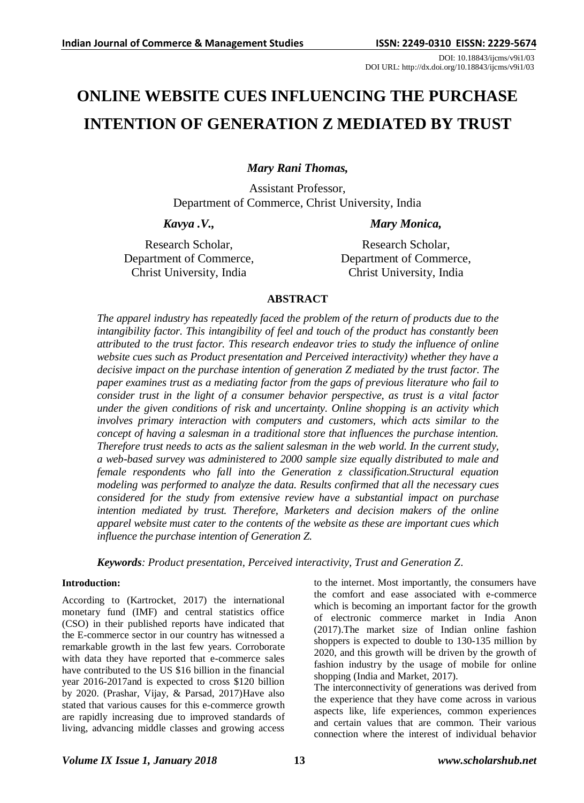DOI: 10.18843/ijcms/v9i1/03 DOI URL: http://dx.doi.org/10.18843/ijcms/v9i1/03

# **ONLINE WEBSITE CUES INFLUENCING THE PURCHASE INTENTION OF GENERATION Z MEDIATED BY TRUST**

*Mary Rani Thomas,*

Assistant Professor, Department of Commerce, Christ University, India

*Kavya .V.,*

Research Scholar, Department of Commerce, Christ University, India

*Mary Monica,*

Research Scholar, Department of Commerce, Christ University, India

# **ABSTRACT**

*The apparel industry has repeatedly faced the problem of the return of products due to the intangibility factor. This intangibility of feel and touch of the product has constantly been attributed to the trust factor. This research endeavor tries to study the influence of online website cues such as Product presentation and Perceived interactivity) whether they have a decisive impact on the purchase intention of generation Z mediated by the trust factor. The paper examines trust as a mediating factor from the gaps of previous literature who fail to consider trust in the light of a consumer behavior perspective, as trust is a vital factor under the given conditions of risk and uncertainty. Online shopping is an activity which involves primary interaction with computers and customers, which acts similar to the concept of having a salesman in a traditional store that influences the purchase intention. Therefore trust needs to acts as the salient salesman in the web world. In the current study, a web-based survey was administered to 2000 sample size equally distributed to male and female respondents who fall into the Generation z classification.Structural equation modeling was performed to analyze the data. Results confirmed that all the necessary cues considered for the study from extensive review have a substantial impact on purchase intention mediated by trust. Therefore, Marketers and decision makers of the online apparel website must cater to the contents of the website as these are important cues which influence the purchase intention of Generation Z.*

*Keywords: Product presentation, Perceived interactivity, Trust and Generation Z.*

# **Introduction:**

According to (Kartrocket, 2017) the international monetary fund (IMF) and central statistics office (CSO) in their published reports have indicated that the E-commerce sector in our country has witnessed a remarkable growth in the last few years. Corroborate with data they have reported that e-commerce sales have contributed to the US \$16 billion in the financial year 2016-2017and is expected to cross \$120 billion by 2020. (Prashar, Vijay, & Parsad, 2017)Have also stated that various causes for this e-commerce growth are rapidly increasing due to improved standards of living, advancing middle classes and growing access

to the internet. Most importantly, the consumers have the comfort and ease associated with e-commerce which is becoming an important factor for the growth of electronic commerce market in India Anon (2017).The market size of Indian online fashion shoppers is expected to double to 130-135 million by 2020, and this growth will be driven by the growth of fashion industry by the usage of mobile for online shopping (India and Market, 2017).

The interconnectivity of generations was derived from the experience that they have come across in various aspects like, life experiences, common experiences and certain values that are common. Their various connection where the interest of individual behavior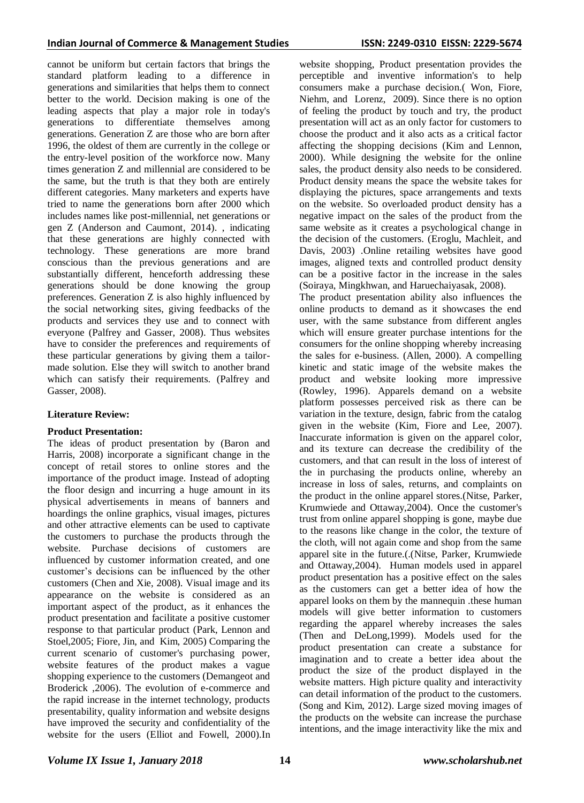cannot be uniform but certain factors that brings the standard platform leading to a difference in generations and similarities that helps them to connect better to the world. Decision making is one of the leading aspects that play a major role in today's generations to differentiate themselves among generations. Generation Z are those who are born after 1996, the oldest of them are currently in the college or the entry-level position of the workforce now. Many times generation Z and millennial are considered to be the same, but the truth is that they both are entirely different categories. Many marketers and experts have tried to name the generations born after 2000 which includes names like post-millennial, net generations or gen Z (Anderson and Caumont, 2014). , indicating that these generations are highly connected with technology. These generations are more brand conscious than the previous generations and are substantially different, henceforth addressing these generations should be done knowing the group preferences. Generation Z is also highly influenced by the social networking sites, giving feedbacks of the products and services they use and to connect with everyone (Palfrey and Gasser, 2008). Thus websites have to consider the preferences and requirements of these particular generations by giving them a tailormade solution. Else they will switch to another brand which can satisfy their requirements. (Palfrey and Gasser, 2008).

# **Literature Review:**

# **Product Presentation:**

The ideas of product presentation by (Baron and Harris, 2008) incorporate a significant change in the concept of retail stores to online stores and the importance of the product image. Instead of adopting the floor design and incurring a huge amount in its physical advertisements in means of banners and hoardings the online graphics, visual images, pictures and other attractive elements can be used to captivate the customers to purchase the products through the website. Purchase decisions of customers are influenced by customer information created, and one customer's decisions can be influenced by the other customers (Chen and Xie, 2008). Visual image and its appearance on the website is considered as an important aspect of the product, as it enhances the product presentation and facilitate a positive customer response to that particular product (Park, Lennon and Stoel,2005; Fiore, Jin, and Kim, 2005) Comparing the current scenario of customer's purchasing power, website features of the product makes a vague shopping experience to the customers (Demangeot and Broderick ,2006). The evolution of e-commerce and the rapid increase in the internet technology, products presentability, quality information and website designs have improved the security and confidentiality of the website for the users (Elliot and Fowell, 2000).In

website shopping, Product presentation provides the perceptible and inventive information's to help consumers make a purchase decision.( Won, Fiore, Niehm, and Lorenz, 2009). Since there is no option of feeling the product by touch and try, the product presentation will act as an only factor for customers to choose the product and it also acts as a critical factor affecting the shopping decisions (Kim and Lennon, 2000). While designing the website for the online sales, the product density also needs to be considered. Product density means the space the website takes for displaying the pictures, space arrangements and texts on the website. So overloaded product density has a negative impact on the sales of the product from the same website as it creates a psychological change in the decision of the customers. (Eroglu, Machleit, and Davis, 2003) .Online retailing websites have good images, aligned texts and controlled product density can be a positive factor in the increase in the sales (Soiraya, Mingkhwan, and Haruechaiyasak, 2008).

The product presentation ability also influences the online products to demand as it showcases the end user, with the same substance from different angles which will ensure greater purchase intentions for the consumers for the online shopping whereby increasing the sales for e-business. (Allen, 2000). A compelling kinetic and static image of the website makes the product and website looking more impressive (Rowley, 1996). Apparels demand on a website platform possesses perceived risk as there can be variation in the texture, design, fabric from the catalog given in the website (Kim, Fiore and Lee, 2007). Inaccurate information is given on the apparel color, and its texture can decrease the credibility of the customers, and that can result in the loss of interest of the in purchasing the products online, whereby an increase in loss of sales, returns, and complaints on the product in the online apparel stores.(Nitse, Parker, Krumwiede and Ottaway,2004). Once the customer's trust from online apparel shopping is gone, maybe due to the reasons like change in the color, the texture of the cloth, will not again come and shop from the same apparel site in the future.(.(Nitse, Parker, Krumwiede and Ottaway,2004). Human models used in apparel product presentation has a positive effect on the sales as the customers can get a better idea of how the apparel looks on them by the mannequin .these human models will give better information to customers regarding the apparel whereby increases the sales (Then and DeLong,1999). Models used for the product presentation can create a substance for imagination and to create a better idea about the product the size of the product displayed in the website matters. High picture quality and interactivity can detail information of the product to the customers. (Song and Kim, 2012). Large sized moving images of the products on the website can increase the purchase intentions, and the image interactivity like the mix and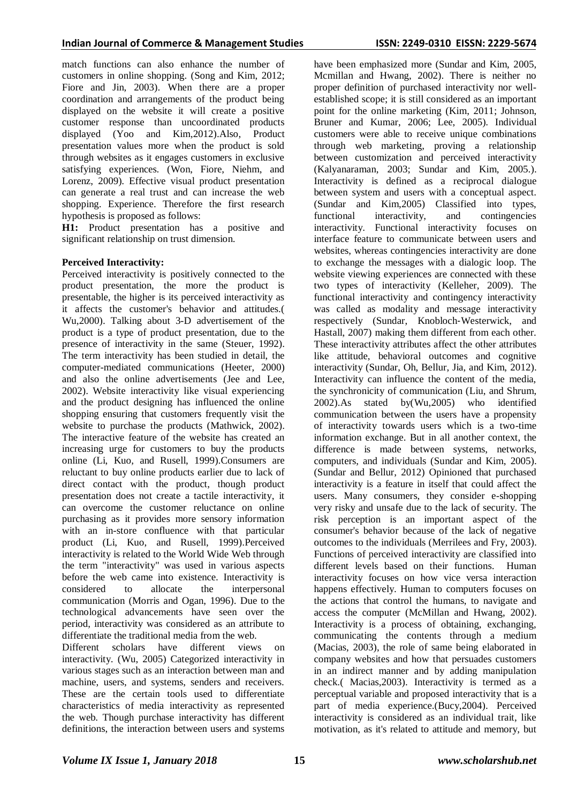match functions can also enhance the number of customers in online shopping. (Song and Kim, 2012; Fiore and Jin, 2003). When there are a proper coordination and arrangements of the product being displayed on the website it will create a positive customer response than uncoordinated products displayed (Yoo and Kim,2012).Also, Product presentation values more when the product is sold through websites as it engages customers in exclusive satisfying experiences. (Won, Fiore, Niehm, and Lorenz, 2009). Effective visual product presentation can generate a real trust and can increase the web shopping. Experience. Therefore the first research hypothesis is proposed as follows:

**H1:** Product presentation has a positive and significant relationship on trust dimension.

# **Perceived Interactivity:**

Perceived interactivity is positively connected to the product presentation, the more the product is presentable, the higher is its perceived interactivity as it affects the customer's behavior and attitudes.( Wu,2000). Talking about 3-D advertisement of the product is a type of product presentation, due to the presence of interactivity in the same (Steuer, 1992). The term interactivity has been studied in detail, the computer-mediated communications (Heeter, 2000) and also the online advertisements (Jee and Lee, 2002). Website interactivity like visual experiencing and the product designing has influenced the online shopping ensuring that customers frequently visit the website to purchase the products (Mathwick, 2002). The interactive feature of the website has created an increasing urge for customers to buy the products online (Li, Kuo, and Rusell, 1999).Consumers are reluctant to buy online products earlier due to lack of direct contact with the product, though product presentation does not create a tactile interactivity, it can overcome the customer reluctance on online purchasing as it provides more sensory information with an in-store confluence with that particular product (Li, Kuo, and Rusell, 1999).Perceived interactivity is related to the World Wide Web through the term "interactivity" was used in various aspects before the web came into existence. Interactivity is considered to allocate the interpersonal communication (Morris and Ogan, 1996). Due to the technological advancements have seen over the period, interactivity was considered as an attribute to differentiate the traditional media from the web.

Different scholars have different views on interactivity. (Wu, 2005) Categorized interactivity in various stages such as an interaction between man and machine, users, and systems, senders and receivers. These are the certain tools used to differentiate characteristics of media interactivity as represented the web. Though purchase interactivity has different definitions, the interaction between users and systems have been emphasized more (Sundar and Kim, 2005, Mcmillan and Hwang, 2002). There is neither no proper definition of purchased interactivity nor wellestablished scope; it is still considered as an important point for the online marketing (Kim, 2011; Johnson, Bruner and Kumar, 2006; Lee, 2005). Individual customers were able to receive unique combinations through web marketing, proving a relationship between customization and perceived interactivity (Kalyanaraman, 2003; Sundar and Kim, 2005.). Interactivity is defined as a reciprocal dialogue between system and users with a conceptual aspect. (Sundar and Kim,2005) Classified into types, functional interactivity, and contingencies interactivity. Functional interactivity focuses on interface feature to communicate between users and websites, whereas contingencies interactivity are done to exchange the messages with a dialogic loop. The website viewing experiences are connected with these two types of interactivity (Kelleher, 2009). The functional interactivity and contingency interactivity was called as modality and message interactivity respectively (Sundar, Knobloch‐Westerwick, and Hastall, 2007) making them different from each other. These interactivity attributes affect the other attributes like attitude, behavioral outcomes and cognitive interactivity (Sundar, Oh, Bellur, Jia, and Kim, 2012). Interactivity can influence the content of the media, the synchronicity of communication (Liu, and Shrum, 2002).As stated by(Wu,2005) who identified communication between the users have a propensity of interactivity towards users which is a two-time information exchange. But in all another context, the difference is made between systems, networks, computers, and individuals (Sundar and Kim, 2005). (Sundar and Bellur, 2012) Opinioned that purchased interactivity is a feature in itself that could affect the users. Many consumers, they consider e-shopping very risky and unsafe due to the lack of security. The risk perception is an important aspect of the consumer's behavior because of the lack of negative outcomes to the individuals (Merrilees and Fry, 2003). Functions of perceived interactivity are classified into different levels based on their functions. Human interactivity focuses on how vice versa interaction happens effectively. Human to computers focuses on the actions that control the humans, to navigate and access the computer (McMillan and Hwang, 2002). Interactivity is a process of obtaining, exchanging, communicating the contents through a medium (Macias, 2003), the role of same being elaborated in company websites and how that persuades customers in an indirect manner and by adding manipulation check.( Macias,2003). Interactivity is termed as a perceptual variable and proposed interactivity that is a part of media experience.(Bucy,2004). Perceived interactivity is considered as an individual trait, like

motivation, as it's related to attitude and memory, but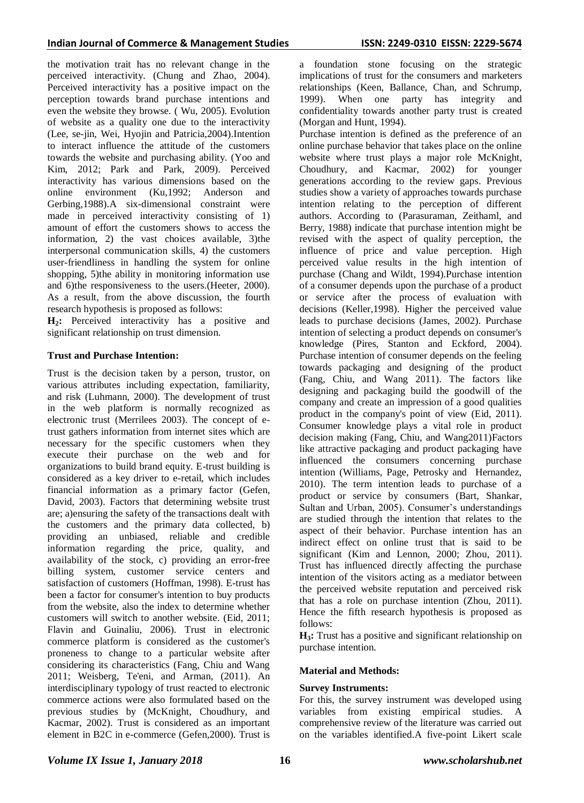the motivation trait has no relevant change in the perceived interactivity. (Chung and Zhao, 2004). Perceived interactivity has a positive impact on the perception towards brand purchase intentions and even the website they browse. ( Wu, 2005). Evolution of website as a quality one due to the interactivity (Lee, se-jin, Wei, Hyojin and Patricia,2004).Intention to interact influence the attitude of the customers towards the website and purchasing ability. (Yoo and Kim, 2012; Park and Park, 2009). Perceived interactivity has various dimensions based on the online environment (Ku,1992; Anderson and Gerbing,1988).A six-dimensional constraint were made in perceived interactivity consisting of 1) amount of effort the customers shows to access the information, 2) the vast choices available, 3)the interpersonal communication skills, 4) the customers user-friendliness in handling the system for online shopping, 5)the ability in monitoring information use and 6)the responsiveness to the users.(Heeter, 2000). As a result, from the above discussion, the fourth research hypothesis is proposed as follows:

**H2:** Perceived interactivity has a positive and significant relationship on trust dimension.

# **Trust and Purchase Intention:**

Trust is the decision taken by a person, trustor, on various attributes including expectation, familiarity, and risk (Luhmann, 2000). The development of trust in the web platform is normally recognized as electronic trust (Merrilees 2003). The concept of etrust gathers information from internet sites which are necessary for the specific customers when they execute their purchase on the web and for organizations to build brand equity. E-trust building is considered as a key driver to e-retail, which includes financial information as a primary factor (Gefen, David, 2003). Factors that determining website trust are; a)ensuring the safety of the transactions dealt with the customers and the primary data collected, b) providing an unbiased, reliable and credible information regarding the price, quality, and availability of the stock, c) providing an error-free billing system, customer service centers and satisfaction of customers (Hoffman, 1998). E-trust has been a factor for consumer's intention to buy products from the website, also the index to determine whether customers will switch to another website. (Eid, 2011; Flavin and Guinaliu, 2006). Trust in electronic commerce platform is considered as the customer's proneness to change to a particular website after considering its characteristics (Fang, Chiu and Wang 2011; Weisberg, Te'eni, and Arman, (2011). An interdisciplinary typology of trust reacted to electronic commerce actions were also formulated based on the previous studies by (McKnight, Choudhury, and Kacmar, 2002). Trust is considered as an important element in B2C in e-commerce (Gefen,2000). Trust is

a foundation stone focusing on the strategic implications of trust for the consumers and marketers relationships (Keen, Ballance, Chan, and Schrump, 1999). When one party has integrity and confidentiality towards another party trust is created (Morgan and Hunt, 1994).

Purchase intention is defined as the preference of an online purchase behavior that takes place on the online website where trust plays a major role McKnight, Choudhury, and Kacmar, 2002) for younger generations according to the review gaps. Previous studies show a variety of approaches towards purchase intention relating to the perception of different authors. According to (Parasuraman, Zeithaml, and Berry, 1988) indicate that purchase intention might be revised with the aspect of quality perception, the influence of price and value perception. High perceived value results in the high intention of purchase (Chang and Wildt, 1994).Purchase intention of a consumer depends upon the purchase of a product or service after the process of evaluation with decisions (Keller,1998). Higher the perceived value leads to purchase decisions (James, 2002). Purchase intention of selecting a product depends on consumer's knowledge (Pires, Stanton and Eckford, 2004). Purchase intention of consumer depends on the feeling towards packaging and designing of the product (Fang, Chiu, and Wang 2011). The factors like designing and packaging build the goodwill of the company and create an impression of a good qualities product in the company's point of view (Eid, 2011). Consumer knowledge plays a vital role in product decision making (Fang, Chiu, and Wang2011)Factors like attractive packaging and product packaging have influenced the consumers concerning purchase intention (Williams, Page, Petrosky and Hernandez, 2010). The term intention leads to purchase of a product or service by consumers (Bart, Shankar, Sultan and Urban, 2005). Consumer's understandings are studied through the intention that relates to the aspect of their behavior. Purchase intention has an indirect effect on online trust that is said to be significant (Kim and Lennon, 2000; Zhou, 2011). Trust has influenced directly affecting the purchase intention of the visitors acting as a mediator between the perceived website reputation and perceived risk that has a role on purchase intention (Zhou, 2011). Hence the fifth research hypothesis is proposed as follows:

**H3:** Trust has a positive and significant relationship on purchase intention.

# **Material and Methods:**

#### **Survey Instruments:**

For this, the survey instrument was developed using variables from existing empirical studies. A comprehensive review of the literature was carried out on the variables identified.A five-point Likert scale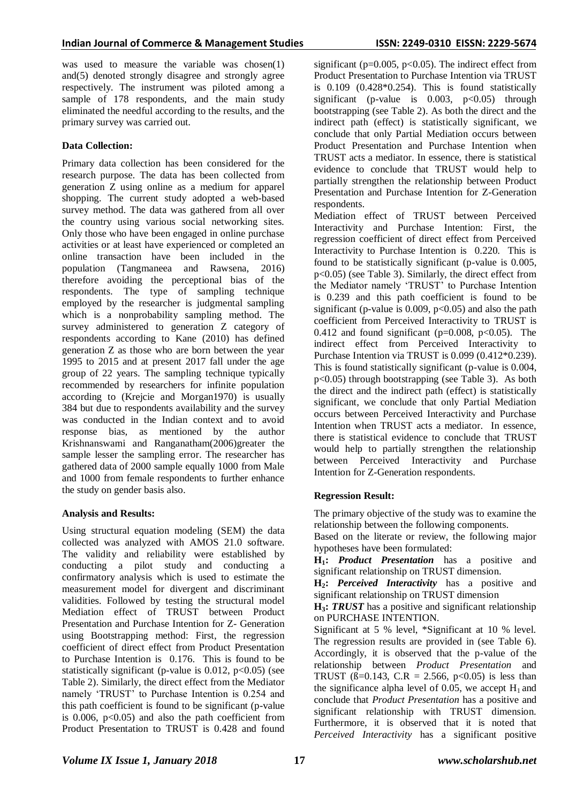was used to measure the variable was chosen(1) and(5) denoted strongly disagree and strongly agree respectively. The instrument was piloted among a sample of 178 respondents, and the main study eliminated the needful according to the results, and the primary survey was carried out.

# **Data Collection:**

Primary data collection has been considered for the research purpose. The data has been collected from generation Z using online as a medium for apparel shopping. The current study adopted a web-based survey method. The data was gathered from all over the country using various social networking sites. Only those who have been engaged in online purchase activities or at least have experienced or completed an online transaction have been included in the population (Tangmaneea and Rawsena, 2016) therefore avoiding the perceptional bias of the respondents. The type of sampling technique employed by the researcher is judgmental sampling which is a nonprobability sampling method. The survey administered to generation Z category of respondents according to Kane (2010) has defined generation Z as those who are born between the year 1995 to 2015 and at present 2017 fall under the age group of 22 years. The sampling technique typically recommended by researchers for infinite population according to (Krejcie and Morgan1970) is usually 384 but due to respondents availability and the survey was conducted in the Indian context and to avoid response bias, as mentioned by the author Krishnanswami and Ranganatham(2006)greater the sample lesser the sampling error. The researcher has gathered data of 2000 sample equally 1000 from Male and 1000 from female respondents to further enhance the study on gender basis also.

# **Analysis and Results:**

Using structural equation modeling (SEM) the data collected was analyzed with AMOS 21.0 software. The validity and reliability were established by conducting a pilot study and conducting a confirmatory analysis which is used to estimate the measurement model for divergent and discriminant validities. Followed by testing the structural model Mediation effect of TRUST between Product Presentation and Purchase Intention for Z- Generation using Bootstrapping method: First, the regression coefficient of direct effect from Product Presentation to Purchase Intention is 0.176. This is found to be statistically significant (p-value is  $0.012$ ,  $p<0.05$ ) (see Table 2). Similarly, the direct effect from the Mediator namely 'TRUST' to Purchase Intention is 0.254 and this path coefficient is found to be significant (p-value is  $0.006$ ,  $p<0.05$ ) and also the path coefficient from Product Presentation to TRUST is 0.428 and found

significant ( $p=0.005$ ,  $p<0.05$ ). The indirect effect from Product Presentation to Purchase Intention via TRUST is  $0.109$   $(0.428*0.254)$ . This is found statistically significant (p-value is  $0.003$ ,  $p<0.05$ ) through bootstrapping (see Table 2). As both the direct and the indirect path (effect) is statistically significant, we conclude that only Partial Mediation occurs between Product Presentation and Purchase Intention when TRUST acts a mediator. In essence, there is statistical evidence to conclude that TRUST would help to partially strengthen the relationship between Product Presentation and Purchase Intention for Z-Generation respondents.

Mediation effect of TRUST between Perceived Interactivity and Purchase Intention: First, the regression coefficient of direct effect from Perceived Interactivity to Purchase Intention is 0.220. This is found to be statistically significant (p-value is 0.005, p<0.05) (see Table 3). Similarly, the direct effect from the Mediator namely 'TRUST' to Purchase Intention is 0.239 and this path coefficient is found to be significant (p-value is  $0.009$ ,  $p<0.05$ ) and also the path coefficient from Perceived Interactivity to TRUST is 0.412 and found significant ( $p=0.008$ ,  $p<0.05$ ). The indirect effect from Perceived Interactivity to Purchase Intention via TRUST is 0.099 (0.412\*0.239). This is found statistically significant (p-value is 0.004, p<0.05) through bootstrapping (see Table 3). As both the direct and the indirect path (effect) is statistically significant, we conclude that only Partial Mediation occurs between Perceived Interactivity and Purchase Intention when TRUST acts a mediator. In essence, there is statistical evidence to conclude that TRUST would help to partially strengthen the relationship between Perceived Interactivity and Purchase Intention for Z-Generation respondents.

# **Regression Result:**

The primary objective of the study was to examine the relationship between the following components.

Based on the literate or review, the following major hypotheses have been formulated:

**H1:** *Product Presentation* has a positive and significant relationship on TRUST dimension.

**H2:** *Perceived Interactivity* has a positive and significant relationship on TRUST dimension

**H3:** *TRUST* has a positive and significant relationship on PURCHASE INTENTION.

Significant at 5 % level, \*Significant at 10 % level. The regression results are provided in (see Table 6). Accordingly, it is observed that the p-value of the relationship between *Product Presentation* and TRUST ( $\beta$ =0.143, C.R = 2.566, p<0.05) is less than the significance alpha level of 0.05, we accept  $H_1$  and conclude that *Product Presentation* has a positive and significant relationship with TRUST dimension. Furthermore, it is observed that it is noted that *Perceived Interactivity* has a significant positive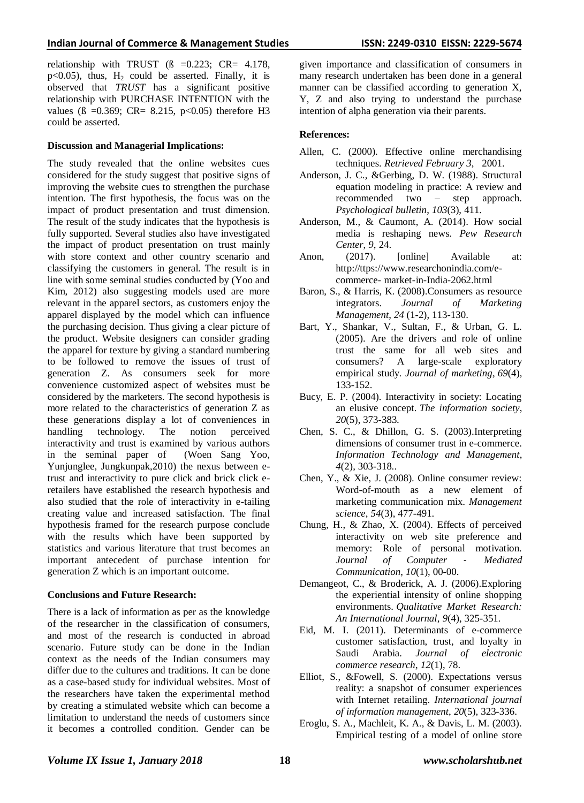relationship with TRUST  $(8 = 0.223; CRe = 4.178)$ ,  $p<0.05$ ), thus,  $H_2$  could be asserted. Finally, it is observed that *TRUST* has a significant positive relationship with PURCHASE INTENTION with the values ( $\beta$  =0.369; CR= 8.215, p<0.05) therefore H3 could be asserted.

#### **Discussion and Managerial Implications:**

The study revealed that the online websites cues considered for the study suggest that positive signs of improving the website cues to strengthen the purchase intention. The first hypothesis, the focus was on the impact of product presentation and trust dimension. The result of the study indicates that the hypothesis is fully supported. Several studies also have investigated the impact of product presentation on trust mainly with store context and other country scenario and classifying the customers in general. The result is in line with some seminal studies conducted by (Yoo and Kim, 2012) also suggesting models used are more relevant in the apparel sectors, as customers enjoy the apparel displayed by the model which can influence the purchasing decision. Thus giving a clear picture of the product. Website designers can consider grading the apparel for texture by giving a standard numbering to be followed to remove the issues of trust of generation Z. As consumers seek for more convenience customized aspect of websites must be considered by the marketers. The second hypothesis is more related to the characteristics of generation Z as these generations display a lot of conveniences in<br>handling technology. The notion perceived handling technology. The notion perceived interactivity and trust is examined by various authors in the seminal paper of (Woen Sang Yoo, Yunjunglee, Jungkunpak,2010) the nexus between etrust and interactivity to pure click and brick click eretailers have established the research hypothesis and also studied that the role of interactivity in e-tailing creating value and increased satisfaction. The final hypothesis framed for the research purpose conclude with the results which have been supported by statistics and various literature that trust becomes an important antecedent of purchase intention for generation Z which is an important outcome.

#### **Conclusions and Future Research:**

There is a lack of information as per as the knowledge of the researcher in the classification of consumers, and most of the research is conducted in abroad scenario. Future study can be done in the Indian context as the needs of the Indian consumers may differ due to the cultures and traditions. It can be done as a case-based study for individual websites. Most of the researchers have taken the experimental method by creating a stimulated website which can become a limitation to understand the needs of customers since it becomes a controlled condition. Gender can be

given importance and classification of consumers in many research undertaken has been done in a general manner can be classified according to generation X, Y, Z and also trying to understand the purchase intention of alpha generation via their parents.

#### **References:**

- Allen, C. (2000). Effective online merchandising techniques. *Retrieved February 3*, 2001.
- Anderson, J. C., &Gerbing, D. W. (1988). Structural equation modeling in practice: A review and recommended two – step approach. *Psychological bulletin*, *103*(3), 411.
- Anderson, M., & Caumont, A. (2014). How social media is reshaping news. *Pew Research Center*, *9*, 24.
- Anon, (2017). [online] Available at: http://ttps://www.researchonindia.com/ecommerce- market-in-India-2062.html
- Baron, S., & Harris, K. (2008).Consumers as resource integrators. *Journal of Marketing Management*, *24* (1-2), 113-130.
- Bart, Y., Shankar, V., Sultan, F., & Urban, G. L. (2005). Are the drivers and role of online trust the same for all web sites and consumers? A large-scale exploratory empirical study. *Journal of marketing*, *69*(4), 133-152.
- Bucy, E. P. (2004). Interactivity in society: Locating an elusive concept. *The information society*, *20*(5), 373-383.
- Chen, S. C., & Dhillon, G. S. (2003).Interpreting dimensions of consumer trust in e-commerce. *Information Technology and Management*, *4*(2), 303-318..
- Chen, Y., & Xie, J. (2008). Online consumer review: Word-of-mouth as a new element of marketing communication mix. *Management science*, *54*(3), 477-491.
- Chung, H., & Zhao, X. (2004). Effects of perceived interactivity on web site preference and memory: Role of personal motivation. *Journal of Computer* ‐ *Mediated Communication*, *10*(1), 00-00.
- Demangeot, C., & Broderick, A. J. (2006).Exploring the experiential intensity of online shopping environments. *Qualitative Market Research: An International Journal*, *9*(4), 325-351.
- Eid, M. I. (2011). Determinants of e-commerce customer satisfaction, trust, and loyalty in Saudi Arabia. *Journal of electronic commerce research*, *12*(1), 78.
- Elliot, S., &Fowell, S. (2000). Expectations versus reality: a snapshot of consumer experiences with Internet retailing. *International journal of information management*, *20*(5), 323-336.
- Eroglu, S. A., Machleit, K. A., & Davis, L. M. (2003). Empirical testing of a model of online store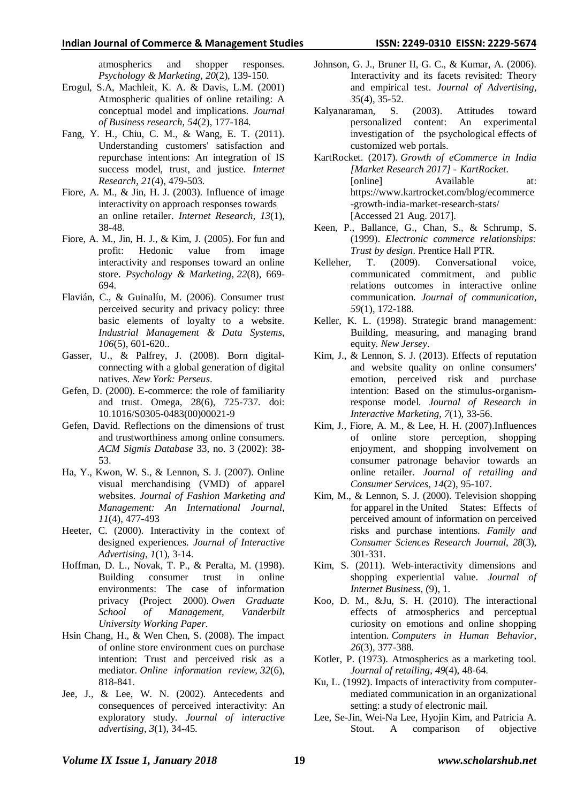atmospherics and shopper responses. *Psychology & Marketing*, *20*(2), 139-150.

- Erogul, S.A, Machleit, K. A. & Davis, L.M. (2001) Atmospheric qualities of online retailing: A conceptual model and implications. *Journal of Business research*, *54*(2), 177-184.
- Fang, Y. H., Chiu, C. M., & Wang, E. T. (2011). Understanding customers' satisfaction and repurchase intentions: An integration of IS success model, trust, and justice. *Internet Research*, *21*(4), 479-503.
- Fiore, A. M., & Jin, H. J. (2003). Influence of image interactivity on approach responses towards an online retailer. *Internet Research*, *13*(1), 38-48.
- Fiore, A. M., Jin, H. J., & Kim, J. (2005). For fun and profit: Hedonic value from image interactivity and responses toward an online store. *Psychology & Marketing*, *22*(8), 669- 694.
- Flavián, C., & Guinalíu, M. (2006). Consumer trust perceived security and privacy policy: three basic elements of loyalty to a website. *Industrial Management & Data Systems*, *106*(5), 601-620..
- Gasser, U., & Palfrey, J. (2008). Born digitalconnecting with a global generation of digital natives. *New York: Perseus*.
- Gefen, D. (2000). E-commerce: the role of familiarity and trust. Omega, 28(6), 725-737. doi: 10.1016/S0305-0483(00)00021-9
- Gefen, David. Reflections on the dimensions of trust and trustworthiness among online consumers. *ACM Sigmis Database* 33, no. 3 (2002): 38- 53.
- Ha, Y., Kwon, W. S., & Lennon, S. J. (2007). Online visual merchandising (VMD) of apparel websites. *Journal of Fashion Marketing and Management: An International Journal*, *11*(4), 477-493
- Heeter, C. (2000). Interactivity in the context of designed experiences. *Journal of Interactive Advertising*, *1*(1), 3-14.
- Hoffman, D. L., Novak, T. P., & Peralta, M. (1998). Building consumer trust in online environments: The case of information privacy (Project 2000). *Owen Graduate School of Management, Vanderbilt University Working Paper*.
- Hsin Chang, H., & Wen Chen, S. (2008). The impact of online store environment cues on purchase intention: Trust and perceived risk as a mediator. *Online information review*, *32*(6), 818-841.
- Jee, J., & Lee, W. N. (2002). Antecedents and consequences of perceived interactivity: An exploratory study. *Journal of interactive advertising*, *3*(1), 34-45.
- Johnson, G. J., Bruner II, G. C., & Kumar, A. (2006). Interactivity and its facets revisited: Theory and empirical test. *Journal of Advertising*, *35*(4), 35-52.
- Kalyanaraman, S. (2003). Attitudes toward personalized content: An experimental investigation of the psychological effects of customized web portals.
- KartRocket. (2017). *Growth of eCommerce in India [Market Research 2017] - KartRocket*. [online] Available at: https://www.kartrocket.com/blog/ecommerce -growth-india-market-research-stats/ [Accessed 21 Aug. 2017].
- Keen, P., Ballance, G., Chan, S., & Schrump, S. (1999). *Electronic commerce relationships: Trust by design*. Prentice Hall PTR.
- Kelleher, T. (2009). Conversational voice, communicated commitment, and public relations outcomes in interactive online communication. *Journal of communication*, *59*(1), 172-188.
- Keller, K. L. (1998). Strategic brand management: Building, measuring, and managing brand equity. *New Jersey*.
- Kim, J., & Lennon, S. J. (2013). Effects of reputation and website quality on online consumers' emotion, perceived risk and purchase intention: Based on the stimulus-organismresponse model. *Journal of Research in Interactive Marketing*, *7*(1), 33-56.
- Kim, J., Fiore, A. M., & Lee, H. H. (2007).Influences of online store perception, shopping enjoyment, and shopping involvement on consumer patronage behavior towards an online retailer. *Journal of retailing and Consumer Services*, *14*(2), 95-107.
- Kim, M., & Lennon, S. J. (2000). Television shopping for apparel in the United States: Effects of perceived amount of information on perceived risks and purchase intentions. *Family and Consumer Sciences Research Journal*, *28*(3), 301-331.
- Kim, S. (2011). Web-interactivity dimensions and shopping experiential value. *Journal of Internet Business*, (9), 1.
- Koo, D. M., &Ju, S. H. (2010). The interactional effects of atmospherics and perceptual curiosity on emotions and online shopping intention. *Computers in Human Behavior*, *26*(3), 377-388.
- Kotler, P. (1973). Atmospherics as a marketing tool. *Journal of retailing*, *49*(4), 48-64.
- Ku, L. (1992). Impacts of interactivity from computermediated communication in an organizational setting: a study of electronic mail.
- Lee, Se-Jin, Wei-Na Lee, Hyojin Kim, and Patricia A. Stout. A comparison of objective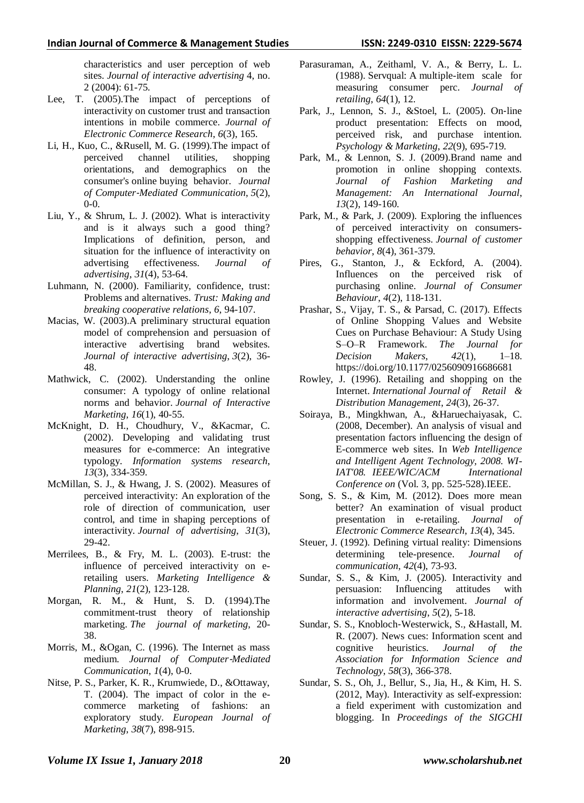characteristics and user perception of web sites. *Journal of interactive advertising* 4, no. 2 (2004): 61-75.

- Lee, T. (2005).The impact of perceptions of interactivity on customer trust and transaction intentions in mobile commerce. *Journal of Electronic Commerce Research*, *6*(3), 165.
- Li, H., Kuo, C., &Rusell, M. G. (1999).The impact of perceived channel utilities, shopping orientations, and demographics on the consumer's online buying behavior. *Journal of Computer*‐*Mediated Communication*, *5*(2),  $0 - 0.$
- Liu, Y., & Shrum, L. J. (2002). What is interactivity and is it always such a good thing? Implications of definition, person, and situation for the influence of interactivity on advertising effectiveness. *Journal of advertising*, *31*(4), 53-64.
- Luhmann, N. (2000). Familiarity, confidence, trust: Problems and alternatives. *Trust: Making and breaking cooperative relations*, *6*, 94-107.
- Macias, W. (2003).A preliminary structural equation model of comprehension and persuasion of interactive advertising brand websites. *Journal of interactive advertising*, *3*(2), 36- 48.
- Mathwick, C. (2002). Understanding the online consumer: A typology of online relational norms and behavior. *Journal of Interactive Marketing*, *16*(1), 40-55.
- McKnight, D. H., Choudhury, V., &Kacmar, C. (2002). Developing and validating trust measures for e-commerce: An integrative typology. *Information systems research*, *13*(3), 334-359.
- McMillan, S. J., & Hwang, J. S. (2002). Measures of perceived interactivity: An exploration of the role of direction of communication, user control, and time in shaping perceptions of interactivity. *Journal of advertising*, *31*(3), 29-42.
- Merrilees, B., & Fry, M. L. (2003). E-trust: the influence of perceived interactivity on eretailing users. *Marketing Intelligence & Planning*, *21*(2), 123-128.
- Morgan, R. M., & Hunt, S. D. (1994).The commitment-trust theory of relationship marketing. *The journal of marketing*, 20- 38.
- Morris, M., &Ogan, C. (1996). The Internet as mass medium. *Journal of Computer*‐*Mediated Communication*, *1*(4), 0-0.
- Nitse, P. S., Parker, K. R., Krumwiede, D., &Ottaway, T. (2004). The impact of color in the ecommerce marketing of fashions: an exploratory study. *European Journal of Marketing*, *38*(7), 898-915.
- Parasuraman, A., Zeithaml, V. A., & Berry, L. L. (1988). Servqual: A multiple-item scale for measuring consumer perc. *Journal of retailing*, *64*(1), 12.
- Park, J., Lennon, S. J., &Stoel, L. (2005). On‐line product presentation: Effects on mood, perceived risk, and purchase intention. *Psychology & Marketing*, *22*(9), 695-719.
- Park, M., & Lennon, S. J. (2009).Brand name and promotion in online shopping contexts. *Journal of Fashion Marketing and Management: An International Journal*, *13*(2), 149-160.
- Park, M., & Park, J. (2009). Exploring the influences of perceived interactivity on consumersshopping effectiveness. *Journal of customer behavior*, *8*(4), 361-379.
- Pires, G., Stanton, J., & Eckford, A. (2004). Influences on the perceived risk of purchasing online. *Journal of Consumer Behaviour*, *4*(2), 118-131.
- Prashar, S., Vijay, T. S., & Parsad, C. (2017). Effects of Online Shopping Values and Website Cues on Purchase Behaviour: A Study Using S–O–R Framework. *The Journal for Decision Makers*, *42*(1), 1–18. https://doi.org/10.1177/0256090916686681
- Rowley, J. (1996). Retailing and shopping on the Internet. *International Journal of Retail & Distribution Management*, *24*(3), 26-37.
- Soiraya, B., Mingkhwan, A., &Haruechaiyasak, C. (2008, December). An analysis of visual and presentation factors influencing the design of E-commerce web sites. In *Web Intelligence and Intelligent Agent Technology, 2008. WI-IAT'08. IEEE/WIC/ACM International Conference on* (Vol. 3, pp. 525-528).IEEE.
- Song, S. S., & Kim, M. (2012). Does more mean better? An examination of visual product presentation in e-retailing. *Journal of Electronic Commerce Research*, *13*(4), 345.
- Steuer, J. (1992). Defining virtual reality: Dimensions determining tele-presence. *Journal of communication*, *42*(4), 73-93.
- Sundar, S. S., & Kim, J. (2005). Interactivity and persuasion: Influencing attitudes with information and involvement. *Journal of interactive advertising*, *5*(2), 5-18.
- Sundar, S. S., Knobloch‐Westerwick, S., &Hastall, M. R. (2007). News cues: Information scent and cognitive heuristics. *Journal of the Association for Information Science and Technology*, *58*(3), 366-378.
- Sundar, S. S., Oh, J., Bellur, S., Jia, H., & Kim, H. S. (2012, May). Interactivity as self-expression: a field experiment with customization and blogging. In *Proceedings of the SIGCHI*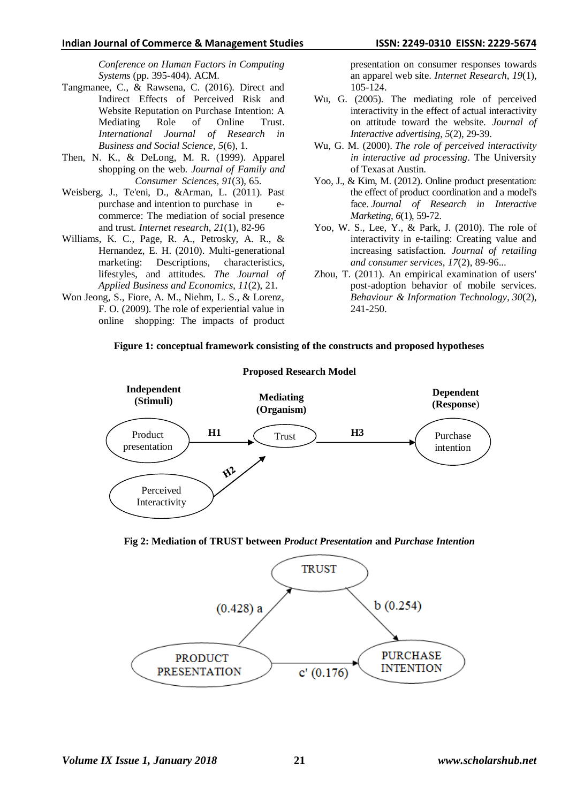#### **Indian Journal of Commerce & Management Studies ISSN: 2249-0310 EISSN: 2229-5674**

*Conference on Human Factors in Computing Systems* (pp. 395-404). ACM.

- Tangmanee, C., & Rawsena, C. (2016). Direct and Indirect Effects of Perceived Risk and Website Reputation on Purchase Intention: A Mediating Role of Online Trust. *International Journal of Research in Business and Social Science*, *5*(6), 1.
- Then, N. K., & DeLong, M. R. (1999). Apparel shopping on the web. *Journal of Family and Consumer Sciences*, *91*(3), 65.
- Weisberg, J., Te'eni, D., &Arman, L. (2011). Past purchase and intention to purchase in ecommerce: The mediation of social presence and trust. *Internet research*, *21*(1), 82-96
- Williams, K. C., Page, R. A., Petrosky, A. R., & Hernandez, E. H. (2010). Multi-generational marketing: Descriptions, characteristics, lifestyles, and attitudes. *The Journal of Applied Business and Economics*, *11*(2), 21.
- Won Jeong, S., Fiore, A. M., Niehm, L. S., & Lorenz, F. O. (2009). The role of experiential value in online shopping: The impacts of product

presentation on consumer responses towards an apparel web site. *Internet Research*, *19*(1), 105-124.

- Wu, G. (2005). The mediating role of perceived interactivity in the effect of actual interactivity on attitude toward the website. *Journal of Interactive advertising*, *5*(2), 29-39.
- Wu, G. M. (2000). *The role of perceived interactivity in interactive ad processing*. The University of Texas at Austin.
- Yoo, J., & Kim, M. (2012). Online product presentation: the effect of product coordination and a model's face. *Journal of Research in Interactive Marketing*, *6*(1), 59-72.
- Yoo, W. S., Lee, Y., & Park, J. (2010). The role of interactivity in e-tailing: Creating value and increasing satisfaction. *Journal of retailing and consumer services*, *17*(2), 89-96...
- Zhou, T. (2011). An empirical examination of users' post-adoption behavior of mobile services. *Behaviour & Information Technology*, *30*(2), 241-250.



# **Figure 1: conceptual framework consisting of the constructs and proposed hypotheses**

**Fig 2: Mediation of TRUST between** *Product Presentation* **and** *Purchase Intention*

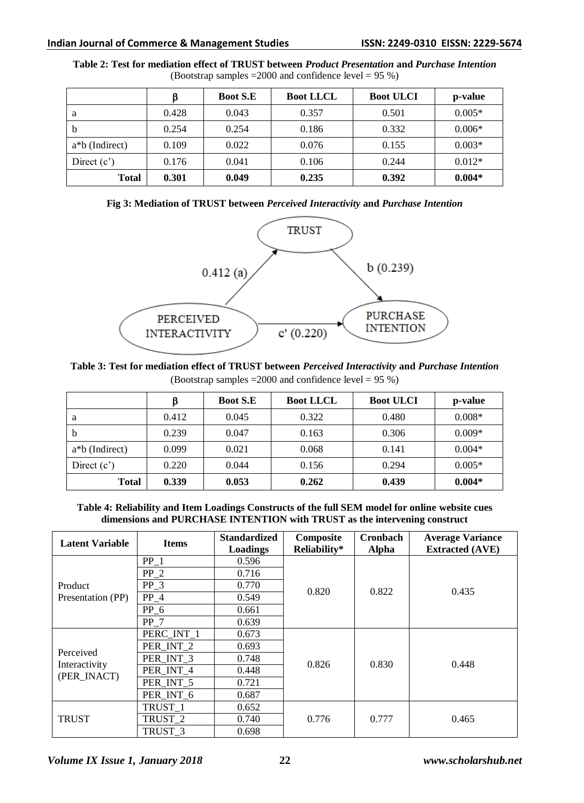|                    | ß     | <b>Boot S.E</b> | <b>Boot LLCL</b> | <b>Boot ULCI</b> | p-value  |
|--------------------|-------|-----------------|------------------|------------------|----------|
| a                  | 0.428 | 0.043           | 0.357            | 0.501            | $0.005*$ |
| b                  | 0.254 | 0.254           | 0.186            | 0.332            | $0.006*$ |
| $a * b$ (Indirect) | 0.109 | 0.022           | 0.076            | 0.155            | $0.003*$ |
| Direct $(c')$      | 0.176 | 0.041           | 0.106            | 0.244            | $0.012*$ |
| <b>Total</b>       | 0.301 | 0.049           | 0.235            | 0.392            | $0.004*$ |

**Table 2: Test for mediation effect of TRUST between** *Product Presentation* **and** *Purchase Intention* (Bootstrap samples =2000 and confidence level = 95 %)





**Table 3: Test for mediation effect of TRUST between** *Perceived Interactivity* **and** *Purchase Intention* (Bootstrap samples =2000 and confidence level = 95 %)

|                | ß     | <b>Boot S.E</b> | <b>Boot LLCL</b> | <b>Boot ULCI</b> | p-value  |
|----------------|-------|-----------------|------------------|------------------|----------|
| a              | 0.412 | 0.045           | 0.322            | 0.480            | $0.008*$ |
| $\mathbf b$    | 0.239 | 0.047           | 0.163            | 0.306            | $0.009*$ |
| a*b (Indirect) | 0.099 | 0.021           | 0.068            | 0.141            | $0.004*$ |
| Direct $(c')$  | 0.220 | 0.044           | 0.156            | 0.294            | $0.005*$ |
| <b>Total</b>   | 0.339 | 0.053           | 0.262            | 0.439            | $0.004*$ |

**Table 4: Reliability and Item Loadings Constructs of the full SEM model for online website cues dimensions and PURCHASE INTENTION with TRUST as the intervening construct**

| <b>Latent Variable</b>                    | <b>Items</b>       | <b>Standardized</b><br>Loadings | Composite<br>Reliability* | <b>Cronbach</b><br>Alpha | <b>Average Variance</b><br><b>Extracted (AVE)</b> |  |
|-------------------------------------------|--------------------|---------------------------------|---------------------------|--------------------------|---------------------------------------------------|--|
|                                           | $PP_1$             | 0.596                           |                           | 0.822                    |                                                   |  |
|                                           | $PP_2$             | 0.716                           |                           |                          | 0.435                                             |  |
| Product                                   | $PP_3$             | 0.770                           | 0.820                     |                          |                                                   |  |
| Presentation (PP)                         | $PP_4$             | 0.549                           |                           |                          |                                                   |  |
|                                           | $PP_6$             | 0.661                           |                           |                          |                                                   |  |
|                                           | PP 7               | 0.639                           |                           |                          |                                                   |  |
| Perceived<br>Interactivity<br>(PER INACT) | PERC_INT_1         | 0.673                           |                           | 0.830                    | 0.448                                             |  |
|                                           | PER INT 2          | 0.693                           |                           |                          |                                                   |  |
|                                           | PER INT 3          | 0.748                           | 0.826                     |                          |                                                   |  |
|                                           | PER INT 4          | 0.448                           |                           |                          |                                                   |  |
|                                           | PER INT 5          | 0.721                           |                           |                          |                                                   |  |
|                                           | PER INT 6          | 0.687                           |                           |                          |                                                   |  |
| <b>TRUST</b>                              | TRUST 1            | 0.652                           |                           | 0.777                    |                                                   |  |
|                                           | TRUST_2            | 0.740                           | 0.776                     |                          | 0.465                                             |  |
|                                           | TRUST <sub>3</sub> | 0.698                           |                           |                          |                                                   |  |